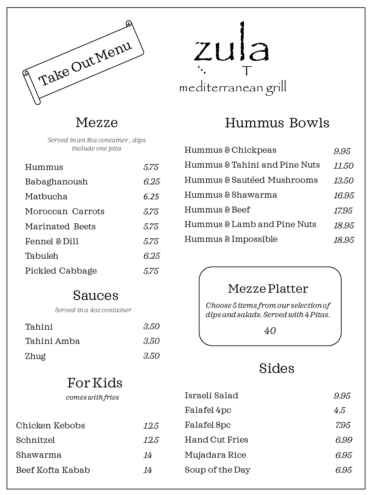

# mediterranean grill zula T

Hummus Bowls

| Hummus & Chickpeas            | 9.95  |
|-------------------------------|-------|
| Hummus & Tahini and Pine Nuts | 11.50 |
| Hummus & Sautéed Mushrooms    | 13.50 |
| Hummus & Shawarma             | 16.95 |
| Hummus & Beef                 | 17.95 |
| Hummus & Lamb and Pine Nuts   | 18.95 |
| Hummus & Impossible           | 18.95 |

#### Mezze Platter

*Choose 5 items from our selection of dips and salads. Served with 4 Pitas.*

*40*

# Sides

| t vi ixid        |      |                       |      |
|------------------|------|-----------------------|------|
| comes with fries |      | Israeli Salad         | 9.95 |
|                  |      | Falafel 4pc           | 4.5  |
| Chicken Kebobs   | 12.5 | Falafel 8pc           | 7.95 |
| Schnitzel        | 12.5 | <b>Hand Cut Fries</b> | 6.99 |
| Shawarma         | 14   | Mujadara Rice         | 6.95 |
| Beef Kofta Kabab | 14   | Soup of the Day       | 6.95 |
|                  |      |                       |      |

Mezze

*Served in an 8oz container , dips include one pita*

| Hummus           | 5.75 |
|------------------|------|
| Babaghanoush     | 6.25 |
| Matbucha         | 6.25 |
| Moroccan Carrots | 5.75 |
| Marinated Beets  | 5.75 |
| Fennel & Dill    | 5.75 |
| Tabuleh          | 6.25 |
| Pickled Cabbage  | 5.75 |

### Sauces

*Served in a 4oz container*

| Tahini      | 3.50 |
|-------------|------|
| Tahini Amba | 3.50 |
| Zhug        | 3.50 |

# For Kids